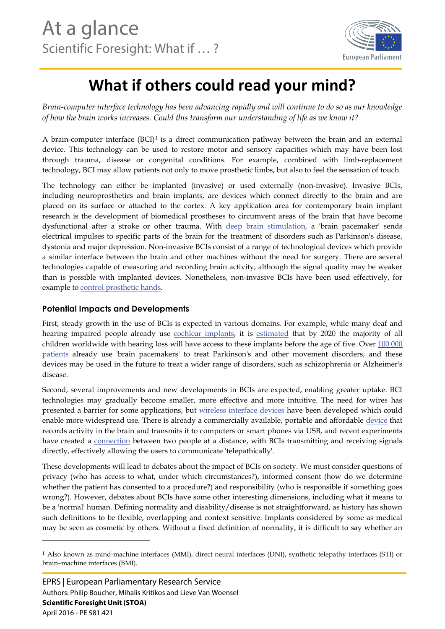

## **What if others could read your mind?**

*Brain-computer interface technology has been advancing rapidly and will continue to do so as our knowledge of how the brain works increases. Could this transform our understanding of life as we know it?*

A brain-computer interface (BCI)[1](#page-0-0) is a direct communication pathway between the brain and an external device. This technology can be used to restore motor and sensory capacities which may have been lost through trauma, disease or congenital conditions. For example, combined with limb-replacement technology, BCI may allow patients not only to move prosthetic limbs, but also to feel the sensation of touch.

The technology can either be implanted (invasive) or used externally (non-invasive). Invasive BCIs, including neuroprosthetics and brain implants, are devices which connect directly to the brain and are placed on its surface or attached to the cortex. A key application area for contemporary brain implant research is the development of biomedical prostheses to circumvent areas of the brain that have become dysfunctional after a stroke or other trauma. With [deep brain stimulation,](http://www.medicalnewstoday.com/articles/265445.php) a 'brain pacemaker' sends electrical impulses to specific parts of the brain for the treatment of disorders such as Parkinson's disease, dystonia and major depression. Non-invasive BCIs consist of a range of technological devices which provide a similar interface between the brain and other machines without the need for surgery. There are several technologies capable of measuring and recording brain activity, although the signal quality may be weaker than is possible with implanted devices. Nonetheless, non-invasive BCIs have been used effectively, for example to [control prosthetic hands.](https://www.sciencedaily.com/releases/2015/03/150331131336.htm) 

## **Potential Impacts and Developments**

First, steady growth in the use of BCIs is expected in various domains. For example, while many deaf and hearing impaired people already use [cochlear implants,](http://www.bbc.co.uk/newsround/27503560) it is [estimated](http://www.medel.com/cochlear-implants-facts/) that by 2020 the majority of all children worldwide with hearing loss will have access to these implants before the age of five. Over 100 [000](http://www.nature.com/news/neuroscience-tuning-the-brain-1.14900)  [patients](http://www.nature.com/news/neuroscience-tuning-the-brain-1.14900) already use 'brain pacemakers' to treat Parkinson's and other movement disorders, and these devices may be used in the future to treat a wider range of disorders, such as schizophrenia or Alzheimer's disease.

Second, several improvements and new developments in BCIs are expected, enabling greater uptake. BCI technologies may gradually become smaller, more effective and more intuitive. The need for wires has presented a barrier for some applications, but [wireless interface devices](http://www.technologyreview.com/news/534206/a-brain-computer-interface-that-works-wirelessly/) have been developed which could enable more widespread use. There is already a commercially available, portable and affordable [device](https://emotiv.com/epoc.php) that records activity in the brain and transmits it to computers or smart phones via USB, and recent experiments have created a [connection](http://journals.plos.org/plosone/article?id=10.1371/journal.pone.0111332) between two people at a distance, with BCIs transmitting and receiving signals directly, effectively allowing the users to communicate 'telepathically'.

These developments will lead to debates about the impact of BCIs on society. We must consider questions of privacy (who has access to what, under which circumstances?), informed consent (how do we determine whether the patient has consented to a procedure?) and responsibility (who is responsible if something goes wrong?). However, debates about BCIs have some other interesting dimensions, including what it means to be a 'normal' human. Defining normality and disability/disease is not straightforward, as history has shown such definitions to be flexible, overlapping and context sensitive. Implants considered by some as medical may be seen as cosmetic by others. Without a fixed definition of normality, it is difficult to say whether an

1

<span id="page-0-0"></span><sup>1</sup> Also known as mind-machine interfaces (MMI), direct neural interfaces (DNI), synthetic telepathy interfaces (STI) or brain–machine interfaces (BMI).